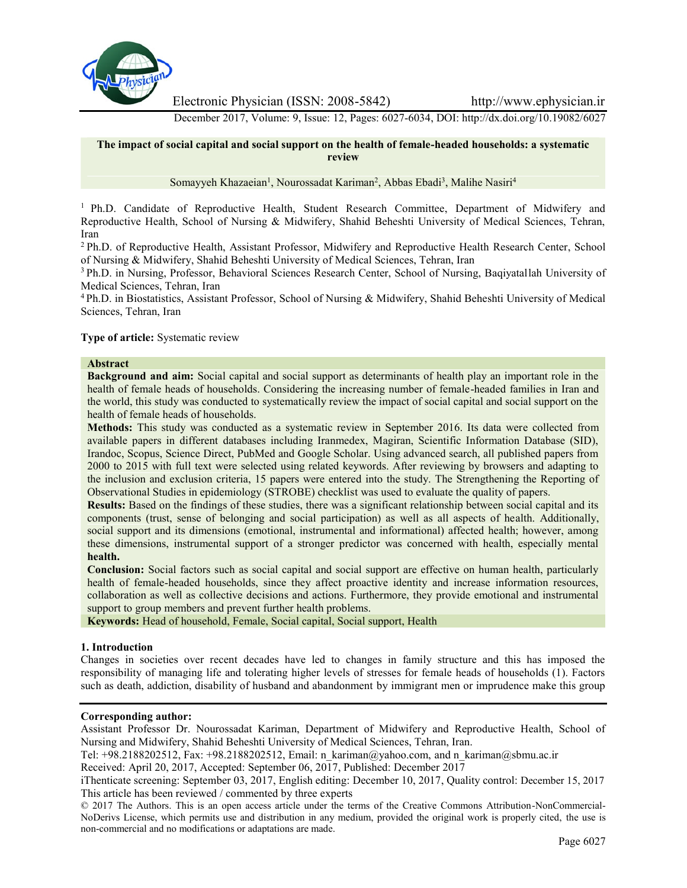

Electronic Physician (ISSN: 2008-5842) http://www.ephysician.ir

December 2017, Volume: 9, Issue: 12, Pages: 6027-6034, DOI: http://dx.doi.org/10.19082/6027

### **The impact of social capital and social support on the health of female-headed households: a systematic review**

Somayyeh Khazaeian<sup>1</sup>, Nourossadat Kariman<sup>2</sup>, Abbas Ebadi<sup>3</sup>, Malihe Nasiri<sup>4</sup>

<sup>1</sup> Ph.D. Candidate of Reproductive Health, Student Research Committee, Department of Midwifery and Reproductive Health, School of Nursing & Midwifery, Shahid Beheshti University of Medical Sciences, Tehran, Iran

<sup>2</sup> Ph.D. of Reproductive Health, Assistant Professor, Midwifery and Reproductive Health Research Center, School of Nursing & Midwifery, Shahid Beheshti University of Medical Sciences, Tehran, Iran

<sup>3</sup> Ph.D. in Nursing, Professor, Behavioral Sciences Research Center, School of Nursing, Baqiyatallah University of Medical Sciences, Tehran, Iran

<sup>4</sup> Ph.D. in Biostatistics, Assistant Professor, School of Nursing & Midwifery, Shahid Beheshti University of Medical Sciences, Tehran, Iran

### **Type of article:** Systematic review

#### **Abstract**

**Background and aim:** Social capital and social support as determinants of health play an important role in the health of female heads of households. Considering the increasing number of female-headed families in Iran and the world, this study was conducted to systematically review the impact of social capital and social support on the health of female heads of households.

**Methods:** This study was conducted as a systematic review in September 2016. Its data were collected from available papers in different databases including Iranmedex, Magiran, Scientific Information Database (SID), Irandoc, Scopus, Science Direct, PubMed and Google Scholar. Using advanced search, all published papers from 2000 to 2015 with full text were selected using related keywords. After reviewing by browsers and adapting to the inclusion and exclusion criteria, 15 papers were entered into the study. The Strengthening the Reporting of Observational Studies in epidemiology (STROBE) checklist was used to evaluate the quality of papers.

**Results:** Based on the findings of these studies, there was a significant relationship between social capital and its components (trust, sense of belonging and social participation) as well as all aspects of health. Additionally, social support and its dimensions (emotional, instrumental and informational) affected health; however, among these dimensions, instrumental support of a stronger predictor was concerned with health, especially mental **health.**

**Conclusion:** Social factors such as social capital and social support are effective on human health, particularly health of female-headed households, since they affect proactive identity and increase information resources, collaboration as well as collective decisions and actions. Furthermore, they provide emotional and instrumental support to group members and prevent further health problems.

**Keywords:** Head of household, Female, Social capital, Social support, Health

### **1. Introduction**

Changes in societies over recent decades have led to changes in family structure and this has imposed the responsibility of managing life and tolerating higher levels of stresses for female heads of households (1). Factors such as death, addiction, disability of husband and abandonment by immigrant men or imprudence make this group

# **Corresponding author:**

Assistant Professor Dr. Nourossadat Kariman, Department of Midwifery and Reproductive Health, School of Nursing and Midwifery, Shahid Beheshti University of Medical Sciences, Tehran, Iran.

Tel: +98.2188202512, Fax: +98.2188202512, Email: n\_kariman@yahoo.com, and n\_kariman@sbmu.ac.ir

Received: April 20, 2017, Accepted: September 06, 2017, Published: December 2017

iThenticate screening: September 03, 2017, English editing: December 10, 2017, Quality control: December 15, 2017 This article has been reviewed / commented by three experts

<sup>© 2017</sup> The Authors. This is an open access article under the terms of the Creative Commons Attribution-NonCommercial- NoDerivs License, which permits use and distribution in any medium, provided the original work is properly cited, the use is non-commercial and no modifications or adaptations are made.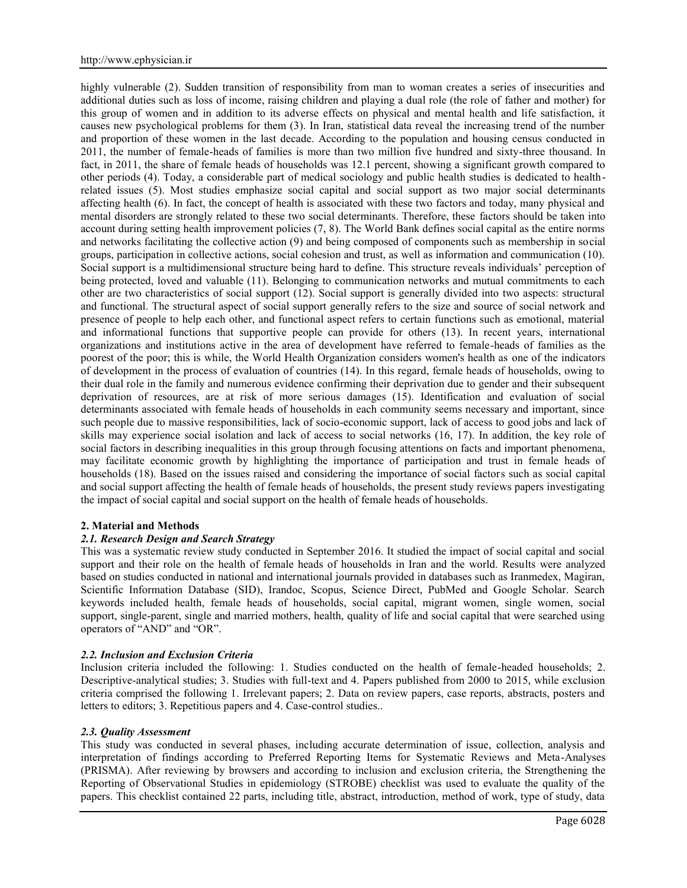highly vulnerable (2). Sudden transition of responsibility from man to woman creates a series of insecurities and additional duties such as loss of income, raising children and playing a dual role (the role of father and mother) for this group of women and in addition to its adverse effects on physical and mental health and life satisfaction, it causes new psychological problems for them (3). In Iran, statistical data reveal the increasing trend of the number and proportion of these women in the last decade. According to the population and housing census conducted in 2011, the number of female-heads of families is more than two million five hundred and sixty-three thousand. In fact, in 2011, the share of female heads of households was 12.1 percent, showing a significant growth compared to other periods (4). Today, a considerable part of medical sociology and public health studies is dedicated to healthrelated issues (5). Most studies emphasize social capital and social support as two major social determinants affecting health (6). In fact, the concept of health is associated with these two factors and today, many physical and mental disorders are strongly related to these two social determinants. Therefore, these factors should be taken into account during setting health improvement policies (7, 8). The World Bank defines social capital as the entire norms and networks facilitating the collective action (9) and being composed of components such as membership in social groups, participation in collective actions, social cohesion and trust, as well as information and communication (10). Social support is a multidimensional structure being hard to define. This structure reveals individuals' perception of being protected, loved and valuable (11). Belonging to communication networks and mutual commitments to each other are two characteristics of social support (12). Social support is generally divided into two aspects: structural and functional. The structural aspect of social support generally refers to the size and source of social network and presence of people to help each other, and functional aspect refers to certain functions such as emotional, material and informational functions that supportive people can provide for others (13). In recent years, international organizations and institutions active in the area of development have referred to female-heads of families as the poorest of the poor; this is while, the World Health Organization considers women's health as one of the indicators of development in the process of evaluation of countries (14). In this regard, female heads of households, owing to their dual role in the family and numerous evidence confirming their deprivation due to gender and their subsequent deprivation of resources, are at risk of more serious damages (15). Identification and evaluation of social determinants associated with female heads of households in each community seems necessary and important, since such people due to massive responsibilities, lack of socio-economic support, lack of access to good jobs and lack of skills may experience social isolation and lack of access to social networks (16, 17). In addition, the key role of social factors in describing inequalities in this group through focusing attentions on facts and important phenomena, may facilitate economic growth by highlighting the importance of participation and trust in female heads of households (18). Based on the issues raised and considering the importance of social factors such as social capital and social support affecting the health of female heads of households, the present study reviews papers investigating the impact of social capital and social support on the health of female heads of households.

# **2. Material and Methods**

# *2.1. Research Design and Search Strategy*

This was a systematic review study conducted in September 2016. It studied the impact of social capital and social support and their role on the health of female heads of households in Iran and the world. Results were analyzed based on studies conducted in national and international journals provided in databases such as Iranmedex, Magiran, Scientific Information Database (SID), Irandoc, Scopus, Science Direct, PubMed and Google Scholar. Search keywords included health, female heads of households, social capital, migrant women, single women, social support, single-parent, single and married mothers, health, quality of life and social capital that were searched using operators of "AND" and "OR".

# *2.2. Inclusion and Exclusion Criteria*

Inclusion criteria included the following: 1. Studies conducted on the health of female-headed households; 2. Descriptive-analytical studies; 3. Studies with full-text and 4. Papers published from 2000 to 2015, while exclusion criteria comprised the following 1. Irrelevant papers; 2. Data on review papers, case reports, abstracts, posters and letters to editors; 3. Repetitious papers and 4. Case-control studies..

### *2.3. Quality Assessment*

This study was conducted in several phases, including accurate determination of issue, collection, analysis and interpretation of findings according to Preferred Reporting Items for Systematic Reviews and Meta-Analyses (PRISMA). After reviewing by browsers and according to inclusion and exclusion criteria, the Strengthening the Reporting of Observational Studies in epidemiology (STROBE) checklist was used to evaluate the quality of the papers. This checklist contained 22 parts, including title, abstract, introduction, method of work, type of study, data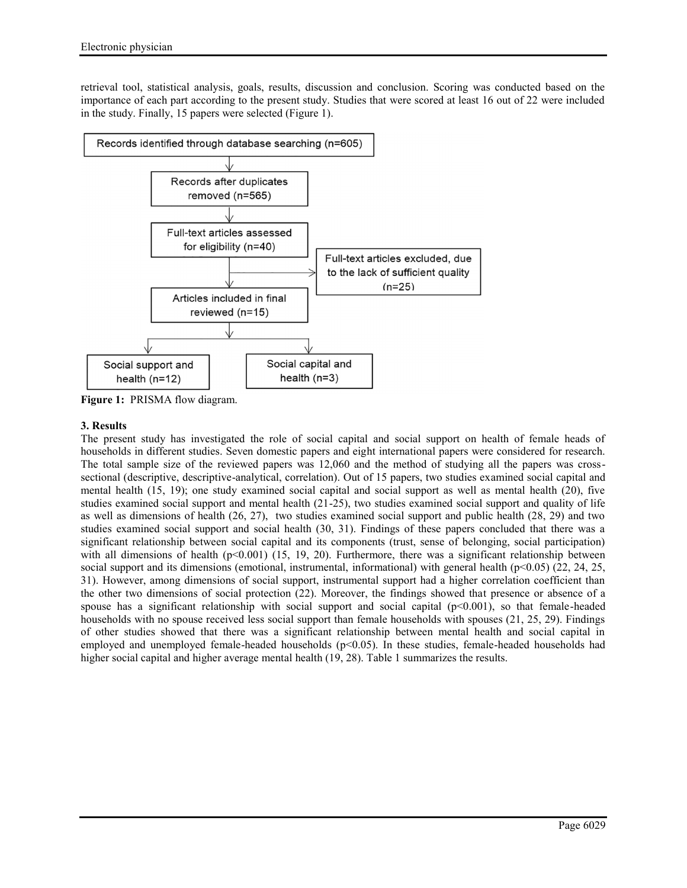retrieval tool, statistical analysis, goals, results, discussion and conclusion. Scoring was conducted based on the importance of each part according to the present study. Studies that were scored at least 16 out of 22 were included in the study. Finally, 15 papers were selected (Figure 1).



**Figure 1:** PRISMA flow diagram.

# **3. Results**

The present study has investigated the role of social capital and social support on health of female heads of households in different studies. Seven domestic papers and eight international papers were considered for research. The total sample size of the reviewed papers was 12,060 and the method of studying all the papers was cross sectional (descriptive, descriptive-analytical, correlation). Out of 15 papers, two studies examined social capital and mental health (15, 19); one study examined social capital and social support as well as mental health (20), five studies examined social support and mental health (21-25), two studies examined social support and quality of life as well as dimensions of health (26, 27), two studies examined social support and public health (28, 29) and two studies examined social support and social health (30, 31). Findings of these papers concluded that there was a significant relationship between social capital and its components (trust, sense of belonging, social participation) with all dimensions of health  $(p<0.001)$  (15, 19, 20). Furthermore, there was a significant relationship between social support and its dimensions (emotional, instrumental, informational) with general health (p<0.05) (22, 24, 25, 31). However, among dimensions of social support, instrumental support had a higher correlation coefficient than the other two dimensions of social protection (22). Moreover, the findings showed that presence or absence of a spouse has a significant relationship with social support and social capital  $(p<0.001)$ , so that female-headed households with no spouse received less social support than female households with spouses (21, 25, 29). Findings of other studies showed that there was a significant relationship between mental health and social capital in employed and unemployed female-headed households  $(p<0.05)$ . In these studies, female-headed households had higher social capital and higher average mental health (19, 28). Table 1 summarizes the results.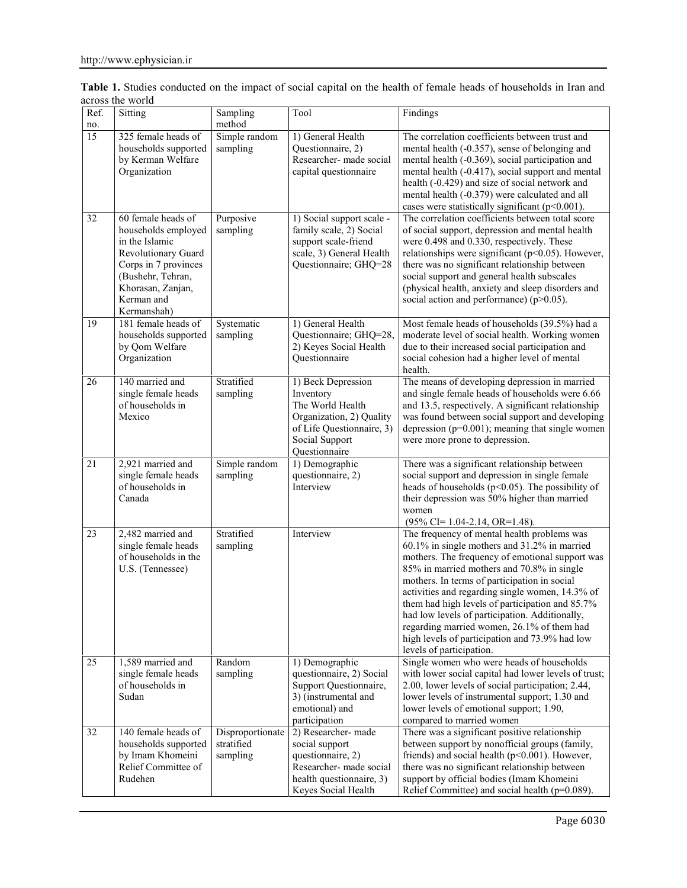| Ref.<br>no. | Sitting                                                                                                                                                                           | Sampling<br>method                         | Tool                                                                                                                                            | Findings                                                                                                                                                                                                                                                                                                                                                                                                                                                                                                                         |
|-------------|-----------------------------------------------------------------------------------------------------------------------------------------------------------------------------------|--------------------------------------------|-------------------------------------------------------------------------------------------------------------------------------------------------|----------------------------------------------------------------------------------------------------------------------------------------------------------------------------------------------------------------------------------------------------------------------------------------------------------------------------------------------------------------------------------------------------------------------------------------------------------------------------------------------------------------------------------|
| 15          | 325 female heads of<br>households supported<br>by Kerman Welfare<br>Organization                                                                                                  | Simple random<br>sampling                  | 1) General Health<br>Questionnaire, 2)<br>Researcher- made social<br>capital questionnaire                                                      | The correlation coefficients between trust and<br>mental health (-0.357), sense of belonging and<br>mental health (-0.369), social participation and<br>mental health (-0.417), social support and mental<br>health (-0.429) and size of social network and<br>mental health (-0.379) were calculated and all<br>cases were statistically significant ( $p<0.001$ ).                                                                                                                                                             |
| 32          | 60 female heads of<br>households employed<br>in the Islamic<br>Revolutionary Guard<br>Corps in 7 provinces<br>(Bushehr, Tehran,<br>Khorasan, Zanjan,<br>Kerman and<br>Kermanshah) | Purposive<br>sampling                      | 1) Social support scale -<br>family scale, 2) Social<br>support scale-friend<br>scale, 3) General Health<br>Questionnaire; GHQ=28               | The correlation coefficients between total score<br>of social support, depression and mental health<br>were 0.498 and 0.330, respectively. These<br>relationships were significant ( $p<0.05$ ). However,<br>there was no significant relationship between<br>social support and general health subscales<br>(physical health, anxiety and sleep disorders and<br>social action and performance) ( $p > 0.05$ ).                                                                                                                 |
| 19          | 181 female heads of<br>households supported<br>by Qom Welfare<br>Organization                                                                                                     | Systematic<br>sampling                     | 1) General Health<br>Questionnaire; GHQ=28,<br>2) Keyes Social Health<br>Questionnaire                                                          | Most female heads of households (39.5%) had a<br>moderate level of social health. Working women<br>due to their increased social participation and<br>social cohesion had a higher level of mental<br>health.                                                                                                                                                                                                                                                                                                                    |
| 26          | 140 married and<br>single female heads<br>of households in<br>Mexico                                                                                                              | Stratified<br>sampling                     | 1) Beck Depression<br>Inventory<br>The World Health<br>Organization, 2) Quality<br>of Life Questionnaire, 3)<br>Social Support<br>Questionnaire | The means of developing depression in married<br>and single female heads of households were 6.66<br>and 13.5, respectively. A significant relationship<br>was found between social support and developing<br>depression ( $p=0.001$ ); meaning that single women<br>were more prone to depression.                                                                                                                                                                                                                               |
| 21          | 2,921 married and<br>single female heads<br>of households in<br>Canada                                                                                                            | Simple random<br>sampling                  | 1) Demographic<br>questionnaire, 2)<br>Interview                                                                                                | There was a significant relationship between<br>social support and depression in single female<br>heads of households ( $p<0.05$ ). The possibility of<br>their depression was 50% higher than married<br>women<br>$(95\%$ CI= 1.04-2.14, OR=1.48).                                                                                                                                                                                                                                                                              |
| 23          | 2,482 married and<br>single female heads<br>of households in the<br>U.S. (Tennessee)                                                                                              | Stratified<br>sampling                     | Interview                                                                                                                                       | The frequency of mental health problems was<br>60.1% in single mothers and 31.2% in married<br>mothers. The frequency of emotional support was<br>85% in married mothers and 70.8% in single<br>mothers. In terms of participation in social<br>activities and regarding single women, 14.3% of<br>them had high levels of participation and 85.7%<br>had low levels of participation. Additionally,<br>regarding married women, 26.1% of them had<br>high levels of participation and 73.9% had low<br>levels of participation. |
| 25          | 1,589 married and<br>single female heads<br>of households in<br>Sudan                                                                                                             | Random<br>sampling                         | 1) Demographic<br>questionnaire, 2) Social<br>Support Questionnaire,<br>3) (instrumental and<br>emotional) and<br>participation                 | Single women who were heads of households<br>with lower social capital had lower levels of trust;<br>2.00, lower levels of social participation; 2.44,<br>lower levels of instrumental support; 1.30 and<br>lower levels of emotional support; 1.90,<br>compared to married women                                                                                                                                                                                                                                                |
| 32          | 140 female heads of<br>households supported<br>by Imam Khomeini<br>Relief Committee of<br>Rudehen                                                                                 | Disproportionate<br>stratified<br>sampling | 2) Researcher- made<br>social support<br>questionnaire, 2)<br>Researcher- made social<br>health questionnaire, 3)<br>Keyes Social Health        | There was a significant positive relationship<br>between support by nonofficial groups (family,<br>friends) and social health ( $p<0.001$ ). However,<br>there was no significant relationship between<br>support by official bodies (Imam Khomeini<br>Relief Committee) and social health (p=0.089).                                                                                                                                                                                                                            |

**Table 1.** Studies conducted on the impact of social capital on the health of female heads of households in Iran and across the world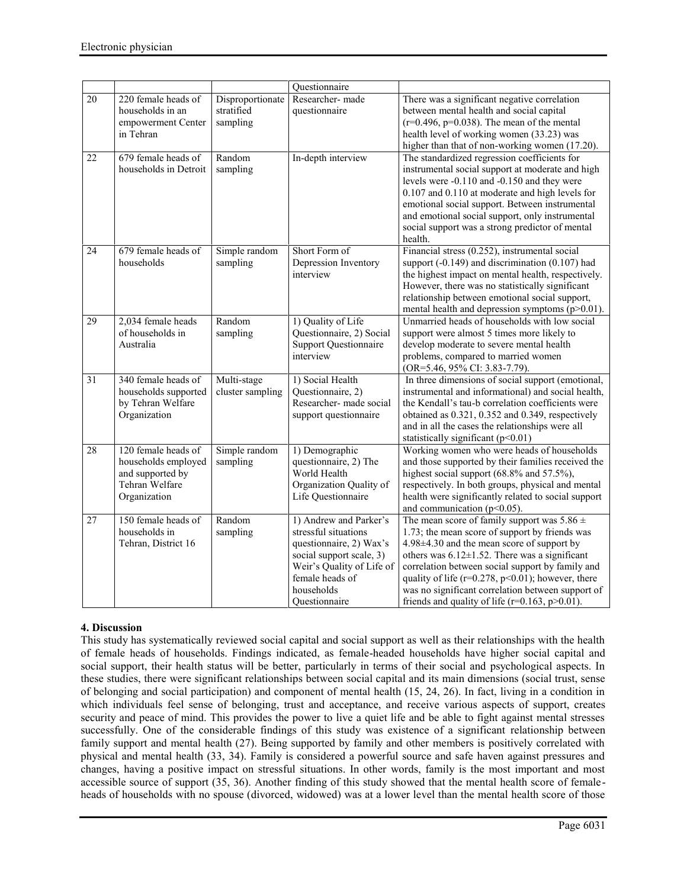|    |                       |                  | Questionnaire                |                                                          |
|----|-----------------------|------------------|------------------------------|----------------------------------------------------------|
| 20 | 220 female heads of   | Disproportionate | Researcher- made             | There was a significant negative correlation             |
|    | households in an      | stratified       | questionnaire                | between mental health and social capital                 |
|    | empowerment Center    | sampling         |                              | $(r=0.496, p=0.038)$ . The mean of the mental            |
|    | in Tehran             |                  |                              | health level of working women (33.23) was                |
|    |                       |                  |                              | higher than that of non-working women (17.20).           |
| 22 | 679 female heads of   | Random           | In-depth interview           | The standardized regression coefficients for             |
|    | households in Detroit | sampling         |                              | instrumental social support at moderate and high         |
|    |                       |                  |                              | levels were -0.110 and -0.150 and they were              |
|    |                       |                  |                              | 0.107 and 0.110 at moderate and high levels for          |
|    |                       |                  |                              | emotional social support. Between instrumental           |
|    |                       |                  |                              | and emotional social support, only instrumental          |
|    |                       |                  |                              | social support was a strong predictor of mental          |
|    |                       |                  |                              | health.                                                  |
| 24 | 679 female heads of   | Simple random    | Short Form of                | Financial stress (0.252), instrumental social            |
|    | households            | sampling         | Depression Inventory         | support $(-0.149)$ and discrimination $(0.107)$ had      |
|    |                       |                  | interview                    | the highest impact on mental health, respectively.       |
|    |                       |                  |                              | However, there was no statistically significant          |
|    |                       |                  |                              | relationship between emotional social support,           |
|    |                       |                  |                              | mental health and depression symptoms $(p>0.01)$ .       |
| 29 | 2,034 female heads    | Random           | 1) Quality of Life           | Unmarried heads of households with low social            |
|    | of households in      | sampling         | Questionnaire, 2) Social     | support were almost 5 times more likely to               |
|    | Australia             |                  | <b>Support Questionnaire</b> | develop moderate to severe mental health                 |
|    |                       |                  | interview                    | problems, compared to married women                      |
|    |                       |                  |                              | (OR=5.46, 95% CI: 3.83-7.79).                            |
| 31 | 340 female heads of   | Multi-stage      | 1) Social Health             | In three dimensions of social support (emotional,        |
|    | households supported  | cluster sampling | Questionnaire, 2)            | instrumental and informational) and social health,       |
|    | by Tehran Welfare     |                  | Researcher- made social      | the Kendall's tau-b correlation coefficients were        |
|    | Organization          |                  | support questionnaire        | obtained as 0.321, 0.352 and 0.349, respectively         |
|    |                       |                  |                              | and in all the cases the relationships were all          |
|    |                       |                  |                              | statistically significant ( $p<0.01$ )                   |
| 28 | 120 female heads of   | Simple random    | 1) Demographic               | Working women who were heads of households               |
|    | households employed   | sampling         | questionnaire, 2) The        | and those supported by their families received the       |
|    | and supported by      |                  | World Health                 | highest social support $(68.8\%$ and $57.5\%$ ),         |
|    | Tehran Welfare        |                  | Organization Quality of      | respectively. In both groups, physical and mental        |
|    | Organization          |                  | Life Questionnaire           | health were significantly related to social support      |
|    |                       |                  |                              | and communication ( $p<0.05$ ).                          |
| 27 | 150 female heads of   | Random           | 1) Andrew and Parker's       | The mean score of family support was $5.86 \pm$          |
|    | households in         | sampling         | stressful situations         | 1.73; the mean score of support by friends was           |
|    | Tehran, District 16   |                  | questionnaire, 2) Wax's      | 4.98±4.30 and the mean score of support by               |
|    |                       |                  | social support scale, 3)     | others was $6.12 \pm 1.52$ . There was a significant     |
|    |                       |                  | Weir's Quality of Life of    | correlation between social support by family and         |
|    |                       |                  | female heads of              | quality of life ( $r=0.278$ , $p<0.01$ ); however, there |
|    |                       |                  | households                   | was no significant correlation between support of        |
|    |                       |                  | Ouestionnaire                | friends and quality of life ( $r=0.163$ , $p>0.01$ ).    |

# **4. Discussion**

This study has systematically reviewed social capital and social support as well as their relationships with the health of female heads of households. Findings indicated, as female-headed households have higher social capital and social support, their health status will be better, particularly in terms of their social and psychological aspects. In these studies, there were significant relationships between social capital and its main dimensions (social trust, sense of belonging and social participation) and component of mental health (15, 24, 26). In fact, living in a condition in which individuals feel sense of belonging, trust and acceptance, and receive various aspects of support, creates security and peace of mind. This provides the power to live a quiet life and be able to fight against mental stresses successfully. One of the considerable findings of this study was existence of a significant relationship between family support and mental health (27). Being supported by family and other members is positively correlated with physical and mental health (33, 34). Family is considered a powerful source and safe haven against pressures and changes, having a positive impact on stressful situations. In other words, family is the most important and most accessible source of support (35, 36). Another finding of this study showed that the mental health score of female heads of households with no spouse (divorced, widowed) was at a lower level than the mental health score of those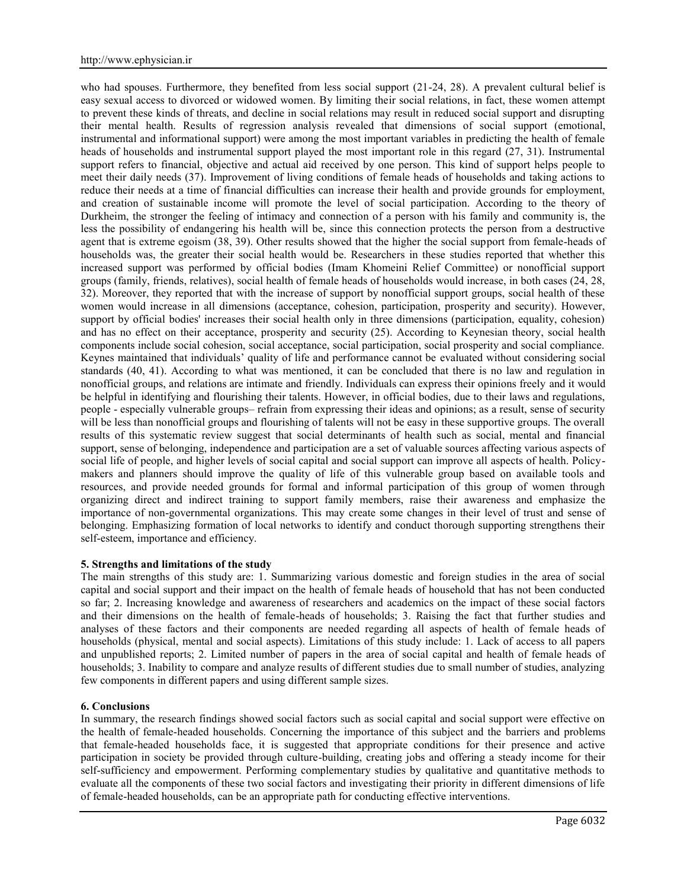who had spouses. Furthermore, they benefited from less social support (21-24, 28). A prevalent cultural belief is easy sexual access to divorced or widowed women. By limiting their social relations, in fact, these women attempt to prevent these kinds of threats, and decline in social relations may result in reduced social support and disrupting their mental health. Results of regression analysis revealed that dimensions of social support (emotional, instrumental and informational support) were among the most important variables in predicting the health of female heads of households and instrumental support played the most important role in this regard (27, 31). Instrumental support refers to financial, objective and actual aid received by one person. This kind of support helps people to meet their daily needs (37). Improvement of living conditions of female heads of households and taking actions to reduce their needs at a time of financial difficulties can increase their health and provide grounds for employment, and creation of sustainable income will promote the level of social participation. According to the theory of Durkheim, the stronger the feeling of intimacy and connection of a person with his family and community is, the less the possibility of endangering his health will be, since this connection protects the person from a destructive agent that is extreme egoism (38, 39). Other results showed that the higher the social support from female-heads of households was, the greater their social health would be. Researchers in these studies reported that whether this increased support was performed by official bodies (Imam Khomeini Relief Committee) or nonofficial support groups (family, friends, relatives), social health of female heads of households would increase, in both cases (24, 28, 32). Moreover, they reported that with the increase of support by nonofficial support groups, social health of these women would increase in all dimensions (acceptance, cohesion, participation, prosperity and security). However, support by official bodies' increases their social health only in three dimensions (participation, equality, cohesion) and has no effect on their acceptance, prosperity and security (25). According to Keynesian theory, social health components include social cohesion, social acceptance, social participation, social prosperity and social compliance. Keynes maintained that individuals' quality of life and performance cannot be evaluated without considering social standards (40, 41). According to what was mentioned, it can be concluded that there is no law and regulation in nonofficial groups, and relations are intimate and friendly. Individuals can express their opinions freely and it would be helpful in identifying and flourishing their talents. However, in official bodies, due to their laws and regulations, people - especially vulnerable groups– refrain from expressing their ideas and opinions; as a result, sense of security will be less than nonofficial groups and flourishing of talents will not be easy in these supportive groups. The overall results of this systematic review suggest that social determinants of health such as social, mental and financial support, sense of belonging, independence and participation are a set of valuable sources affecting various aspects of social life of people, and higher levels of social capital and social support can improve all aspects of health. Policy makers and planners should improve the quality of life of this vulnerable group based on available tools and resources, and provide needed grounds for formal and informal participation of this group of women through organizing direct and indirect training to support family members, raise their awareness and emphasize the importance of non-governmental organizations. This may create some changes in their level of trust and sense of belonging. Emphasizing formation of local networks to identify and conduct thorough supporting strengthens their self-esteem, importance and efficiency.

### **5. Strengths and limitations of the study**

The main strengths of this study are: 1. Summarizing various domestic and foreign studies in the area of social capital and social support and their impact on the health of female heads of household that has not been conducted so far; 2. Increasing knowledge and awareness of researchers and academics on the impact of these social factors and their dimensions on the health of female-heads of households; 3. Raising the fact that further studies and analyses of these factors and their components are needed regarding all aspects of health of female heads of households (physical, mental and social aspects). Limitations of this study include: 1. Lack of access to all papers and unpublished reports; 2. Limited number of papers in the area of social capital and health of female heads of households; 3. Inability to compare and analyze results of different studies due to small number of studies, analyzing few components in different papers and using different sample sizes.

### **6. Conclusions**

In summary, the research findings showed social factors such as social capital and social support were effective on the health of female-headed households. Concerning the importance of this subject and the barriers and problems that female-headed households face, it is suggested that appropriate conditions for their presence and active participation in society be provided through culture-building, creating jobs and offering a steady income for their self-sufficiency and empowerment. Performing complementary studies by qualitative and quantitative methods to evaluate all the components of these two social factors and investigating their priority in different dimensions of life of female-headed households, can be an appropriate path for conducting effective interventions.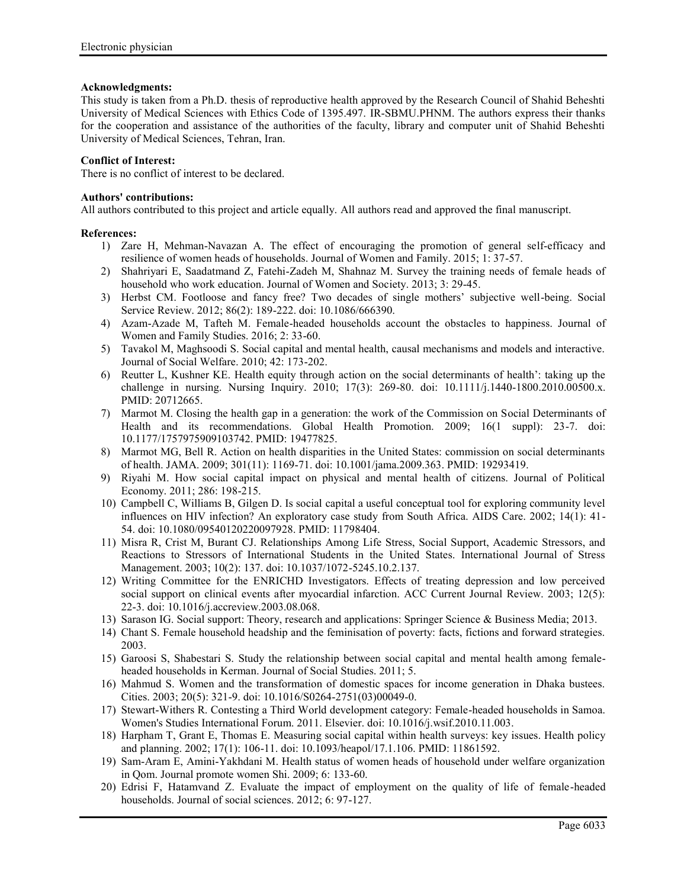# **Acknowledgments:**

This study is taken from a Ph.D. thesis of reproductive health approved by the Research Council of Shahid Beheshti University of Medical Sciences with Ethics Code of 1395.497. IR-SBMU.PHNM. The authors express their thanks for the cooperation and assistance of the authorities of the faculty, library and computer unit of Shahid Beheshti University of Medical Sciences, Tehran, Iran.

## **Conflict of Interest:**

There is no conflict of interest to be declared.

### **Authors' contributions:**

All authors contributed to this project and article equally. All authors read and approved the final manuscript.

### **References:**

- 1) Zare H, Mehman-Navazan A. The effect of encouraging the promotion of general self-efficacy and resilience of women heads of households. Journal of Women and Family. 2015; 1: 37-57.
- 2) Shahriyari E, Saadatmand Z, Fatehi-Zadeh M, Shahnaz M. Survey the training needs of female heads of household who work education. Journal of Women and Society. 2013; 3: 29-45.
- 3) Herbst CM. Footloose and fancy free? Two decades of single mothers' subjective well-being. Social Service Review. 2012; 86(2): 189-222. doi: 10.1086/666390.
- 4) Azam-Azade M, Tafteh M. Female-headed households account the obstacles to happiness. Journal of Women and Family Studies. 2016; 2: 33-60.
- 5) Tavakol M, Maghsoodi S. Social capital and mental health, causal mechanisms and models and interactive. Journal of Social Welfare. 2010; 42: 173-202.
- 6) Reutter L, Kushner KE. Health equity through action on the social determinants of health': taking up the challenge in nursing. Nursing Inquiry. 2010; 17(3): 269-80. doi: 10.1111/j.1440-1800.2010.00500.x. PMID: 20712665.
- 7) Marmot M. Closing the health gap in a generation: the work of the Commission on Social Determinants of Health and its recommendations. Global Health Promotion. 2009; 16(1 suppl): 23-7. doi: 10.1177/1757975909103742. PMID: 19477825.
- 8) Marmot MG, Bell R. Action on health disparities in the United States: commission on social determinants of health. JAMA. 2009; 301(11): 1169-71. doi: 10.1001/jama.2009.363. PMID: 19293419.
- 9) Riyahi M. How social capital impact on physical and mental health of citizens. Journal of Political Economy. 2011; 286: 198-215.
- 10) Campbell C, Williams B, Gilgen D. Is social capital a useful conceptual tool for exploring community level influences on HIV infection? An exploratory case study from South Africa. AIDS Care. 2002; 14(1): 41- 54. doi: 10.1080/09540120220097928. PMID: 11798404.
- 11) Misra R, Crist M, Burant CJ. Relationships Among Life Stress, Social Support, Academic Stressors, and Reactions to Stressors of International Students in the United States. International Journal of Stress Management. 2003; 10(2): 137. doi: 10.1037/1072-5245.10.2.137.
- 12) Writing Committee for the ENRICHD Investigators. Effects of treating depression and low perceived social support on clinical events after myocardial infarction. ACC Current Journal Review. 2003; 12(5): 22-3. doi: 10.1016/j.accreview.2003.08.068.
- 13) Sarason IG. Social support: Theory, research and applications: Springer Science & Business Media; 2013.
- 14) Chant S. Female household headship and the feminisation of poverty: facts, fictions and forward strategies. 2003.
- 15) Garoosi S, Shabestari S. Study the relationship between social capital and mental health among female headed households in Kerman. Journal of Social Studies. 2011; 5.
- 16) Mahmud S. Women and the transformation of domestic spaces for income generation in Dhaka bustees. Cities. 2003; 20(5): 321-9. doi: 10.1016/S0264-2751(03)00049-0.
- 17) Stewart-Withers R. Contesting a Third World development category: Female-headed households in Samoa. Women's Studies International Forum. 2011. Elsevier. doi: 10.1016/j.wsif.2010.11.003.
- 18) Harpham T, Grant E, Thomas E. Measuring social capital within health surveys: key issues. Health policy and planning. 2002; 17(1): 106-11. doi: 10.1093/heapol/17.1.106. PMID: 11861592.
- 19) Sam-Aram E, Amini-Yakhdani M. Health status of women heads of household under welfare organization in Qom. Journal promote women Shi. 2009; 6: 133-60.
- 20) Edrisi F, Hatamvand Z. Evaluate the impact of employment on the quality of life of female-headed households. Journal of social sciences. 2012; 6: 97-127.